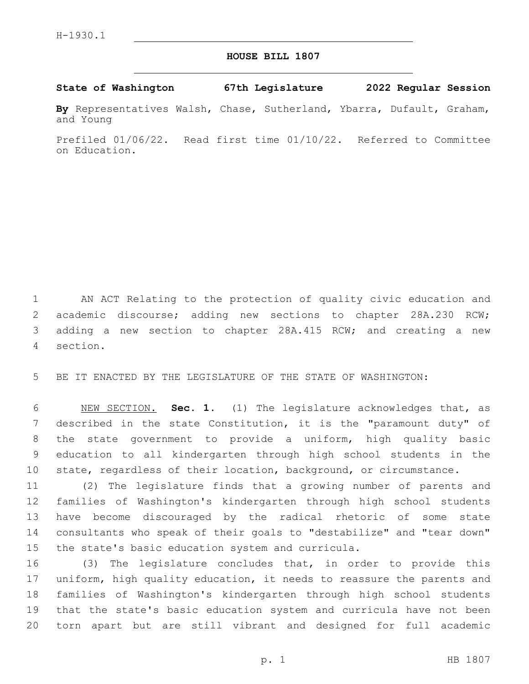## **HOUSE BILL 1807**

## **State of Washington 67th Legislature 2022 Regular Session**

**By** Representatives Walsh, Chase, Sutherland, Ybarra, Dufault, Graham, and Young

Prefiled 01/06/22. Read first time 01/10/22. Referred to Committee on Education.

 AN ACT Relating to the protection of quality civic education and academic discourse; adding new sections to chapter 28A.230 RCW; adding a new section to chapter 28A.415 RCW; and creating a new section.4

BE IT ENACTED BY THE LEGISLATURE OF THE STATE OF WASHINGTON:

 NEW SECTION. **Sec. 1.** (1) The legislature acknowledges that, as described in the state Constitution, it is the "paramount duty" of the state government to provide a uniform, high quality basic education to all kindergarten through high school students in the state, regardless of their location, background, or circumstance.

 (2) The legislature finds that a growing number of parents and families of Washington's kindergarten through high school students have become discouraged by the radical rhetoric of some state consultants who speak of their goals to "destabilize" and "tear down" 15 the state's basic education system and curricula.

 (3) The legislature concludes that, in order to provide this uniform, high quality education, it needs to reassure the parents and families of Washington's kindergarten through high school students that the state's basic education system and curricula have not been torn apart but are still vibrant and designed for full academic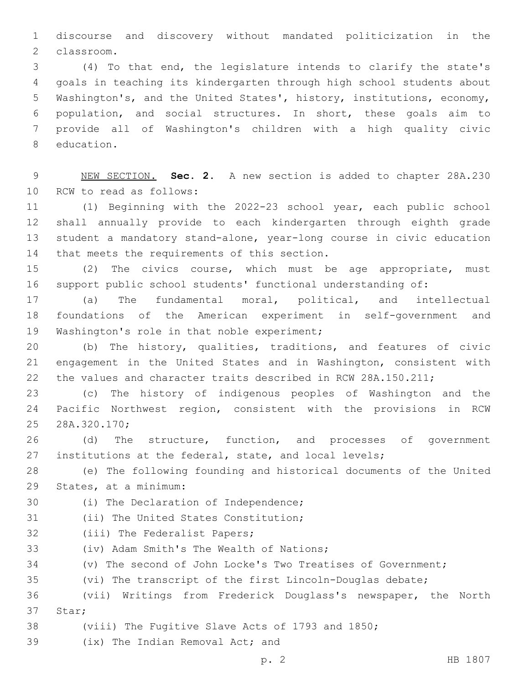discourse and discovery without mandated politicization in the classroom.2

 (4) To that end, the legislature intends to clarify the state's goals in teaching its kindergarten through high school students about Washington's, and the United States', history, institutions, economy, population, and social structures. In short, these goals aim to provide all of Washington's children with a high quality civic 8 education.

 NEW SECTION. **Sec. 2.** A new section is added to chapter 28A.230 10 RCW to read as follows:

 (1) Beginning with the 2022-23 school year, each public school shall annually provide to each kindergarten through eighth grade student a mandatory stand-alone, year-long course in civic education 14 that meets the requirements of this section.

 (2) The civics course, which must be age appropriate, must support public school students' functional understanding of:

 (a) The fundamental moral, political, and intellectual foundations of the American experiment in self-government and 19 Washington's role in that noble experiment;

 (b) The history, qualities, traditions, and features of civic engagement in the United States and in Washington, consistent with the values and character traits described in RCW 28A.150.211;

 (c) The history of indigenous peoples of Washington and the Pacific Northwest region, consistent with the provisions in RCW 28A.320.170;25

 (d) The structure, function, and processes of government 27 institutions at the federal, state, and local levels;

 (e) The following founding and historical documents of the United 29 States, at a minimum:

30 (i) The Declaration of Independence;

31 (ii) The United States Constitution;

32 (iii) The Federalist Papers;

33 (iv) Adam Smith's The Wealth of Nations;

(v) The second of John Locke's Two Treatises of Government;

(vi) The transcript of the first Lincoln-Douglas debate;

 (vii) Writings from Frederick Douglass's newspaper, the North 37 Star:

(viii) The Fugitive Slave Acts of 1793 and 1850;

39 (ix) The Indian Removal Act; and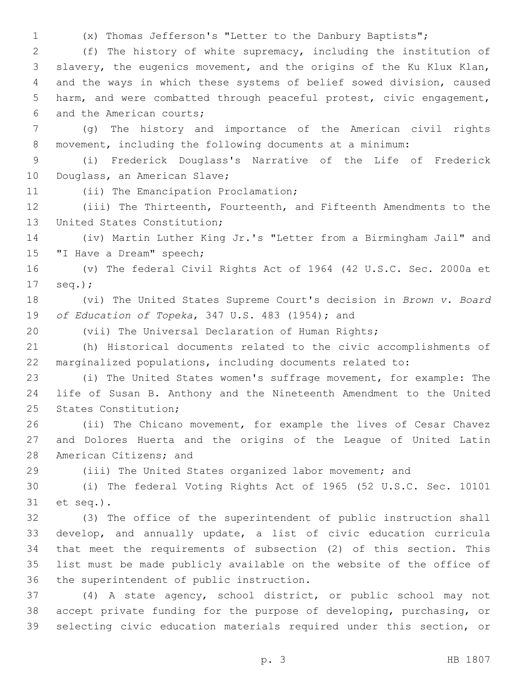(x) Thomas Jefferson's "Letter to the Danbury Baptists";

 (f) The history of white supremacy, including the institution of slavery, the eugenics movement, and the origins of the Ku Klux Klan, and the ways in which these systems of belief sowed division, caused harm, and were combatted through peaceful protest, civic engagement, 6 and the American courts;

 (g) The history and importance of the American civil rights movement, including the following documents at a minimum:

 (i) Frederick Douglass's Narrative of the Life of Frederick 10 Douglass, an American Slave;

11 (ii) The Emancipation Proclamation;

 (iii) The Thirteenth, Fourteenth, and Fifteenth Amendments to the 13 United States Constitution;

 (iv) Martin Luther King Jr.'s "Letter from a Birmingham Jail" and 15 "I Have a Dream" speech;

 (v) The federal Civil Rights Act of 1964 (42 U.S.C. Sec. 2000a et 17 seq.);

 (vi) The United States Supreme Court's decision in *Brown v. Board*  19 of Education of Topeka, 347 U.S. 483 (1954); and

(vii) The Universal Declaration of Human Rights;

 (h) Historical documents related to the civic accomplishments of marginalized populations, including documents related to:

 (i) The United States women's suffrage movement, for example: The life of Susan B. Anthony and the Nineteenth Amendment to the United 25 States Constitution;

 (ii) The Chicano movement, for example the lives of Cesar Chavez and Dolores Huerta and the origins of the League of United Latin 28 American Citizens; and

(iii) The United States organized labor movement; and

 (i) The federal Voting Rights Act of 1965 (52 U.S.C. Sec. 10101 31 et seq.).

 (3) The office of the superintendent of public instruction shall develop, and annually update, a list of civic education curricula that meet the requirements of subsection (2) of this section. This list must be made publicly available on the website of the office of 36 the superintendent of public instruction.

 (4) A state agency, school district, or public school may not accept private funding for the purpose of developing, purchasing, or selecting civic education materials required under this section, or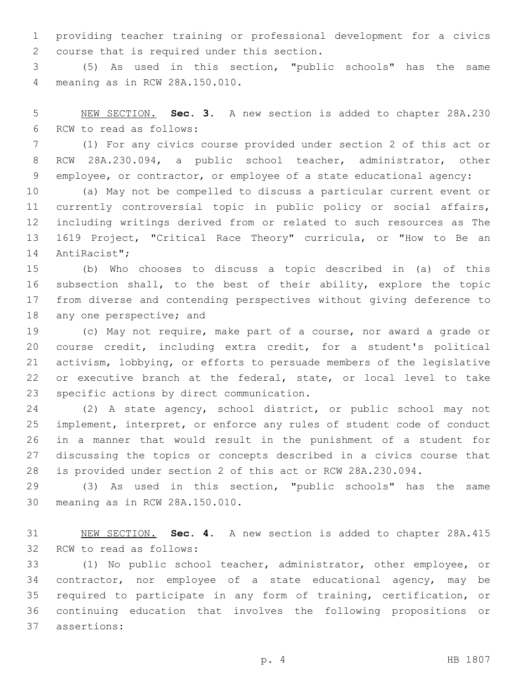providing teacher training or professional development for a civics 2 course that is required under this section.

 (5) As used in this section, "public schools" has the same meaning as in RCW 28A.150.010.4

 NEW SECTION. **Sec. 3.** A new section is added to chapter 28A.230 6 RCW to read as follows:

 (1) For any civics course provided under section 2 of this act or RCW 28A.230.094, a public school teacher, administrator, other employee, or contractor, or employee of a state educational agency:

 (a) May not be compelled to discuss a particular current event or currently controversial topic in public policy or social affairs, including writings derived from or related to such resources as The 1619 Project, "Critical Race Theory" curricula, or "How to Be an 14 AntiRacist";

 (b) Who chooses to discuss a topic described in (a) of this subsection shall, to the best of their ability, explore the topic from diverse and contending perspectives without giving deference to 18 any one perspective; and

 (c) May not require, make part of a course, nor award a grade or course credit, including extra credit, for a student's political activism, lobbying, or efforts to persuade members of the legislative or executive branch at the federal, state, or local level to take 23 specific actions by direct communication.

 (2) A state agency, school district, or public school may not implement, interpret, or enforce any rules of student code of conduct in a manner that would result in the punishment of a student for discussing the topics or concepts described in a civics course that is provided under section 2 of this act or RCW 28A.230.094.

 (3) As used in this section, "public schools" has the same 30 meaning as in RCW 28A.150.010.

 NEW SECTION. **Sec. 4.** A new section is added to chapter 28A.415 32 RCW to read as follows:

 (1) No public school teacher, administrator, other employee, or contractor, nor employee of a state educational agency, may be required to participate in any form of training, certification, or continuing education that involves the following propositions or 37 assertions: